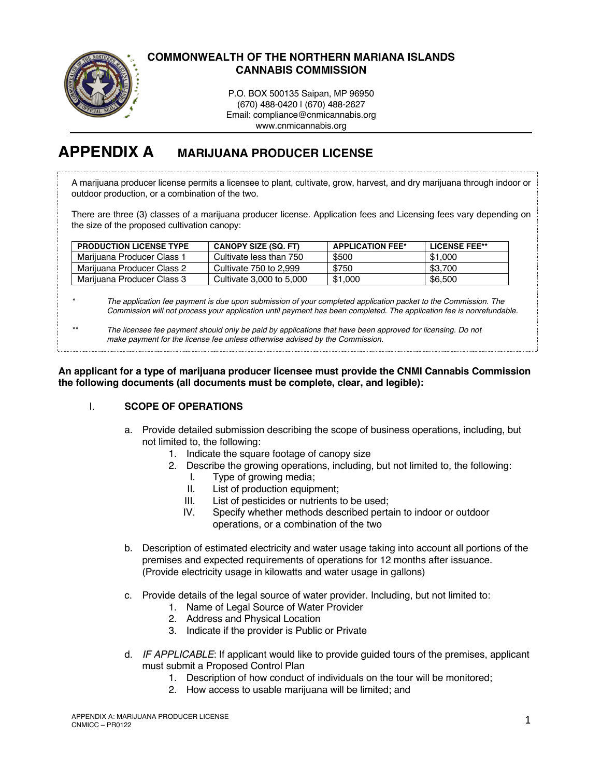

# **COMMONWEALTH OF THE NORTHERN MARIANA ISLANDS CANNABIS COMMISSION**

P.O. BOX 500135 Saipan, MP 96950 (670) 488-0420 | (670) 488-2627 Email: compliance@cnmicannabis.org www.cnmicannabis.org

# **APPENDIX A MARIJUANA PRODUCER LICENSE**

A marijuana producer license permits a licensee to plant, cultivate, grow, harvest, and dry marijuana through indoor or outdoor production, or a combination of the two.

There are three (3) classes of a marijuana producer license. Application fees and Licensing fees vary depending on the size of the proposed cultivation canopy:

| <b>PRODUCTION LICENSE TYPE</b> | <b>CANOPY SIZE (SQ. FT)</b> | <b>APPLICATION FEE*</b> | LICENSE FEE** |
|--------------------------------|-----------------------------|-------------------------|---------------|
| Marijuana Producer Class 1     | Cultivate less than 750     | \$500                   | \$1,000       |
| Marijuana Producer Class 2     | Cultivate 750 to 2.999      | \$750                   | \$3.700       |
| Marijuana Producer Class 3     | Cultivate 3,000 to 5,000    | \$1,000                 | \$6.500       |

*\* The application fee payment is due upon submission of your completed application packet to the Commission. The Commission will not process your application until payment has been completed. The application fee is nonrefundable.*

*\*\* The licensee fee payment should only be paid by applications that have been approved for licensing. Do not make payment for the license fee unless otherwise advised by the Commission.*

**An applicant for a type of marijuana producer licensee must provide the CNMI Cannabis Commission the following documents (all documents must be complete, clear, and legible):**

### I. **SCOPE OF OPERATIONS**

- a. Provide detailed submission describing the scope of business operations, including, but not limited to, the following:
	- 1. Indicate the square footage of canopy size
	- 2. Describe the growing operations, including, but not limited to, the following:
		- I. Type of growing media;
		- II. List of production equipment;
		- III. List of pesticides or nutrients to be used;
		- IV. Specify whether methods described pertain to indoor or outdoor operations, or a combination of the two
- b. Description of estimated electricity and water usage taking into account all portions of the premises and expected requirements of operations for 12 months after issuance. (Provide electricity usage in kilowatts and water usage in gallons)
- c. Provide details of the legal source of water provider. Including, but not limited to:
	- 1. Name of Legal Source of Water Provider
	- 2. Address and Physical Location
	- 3. Indicate if the provider is Public or Private
- d. *IF APPLICABLE*: If applicant would like to provide guided tours of the premises, applicant must submit a Proposed Control Plan
	- 1. Description of how conduct of individuals on the tour will be monitored;
	- 2. How access to usable marijuana will be limited; and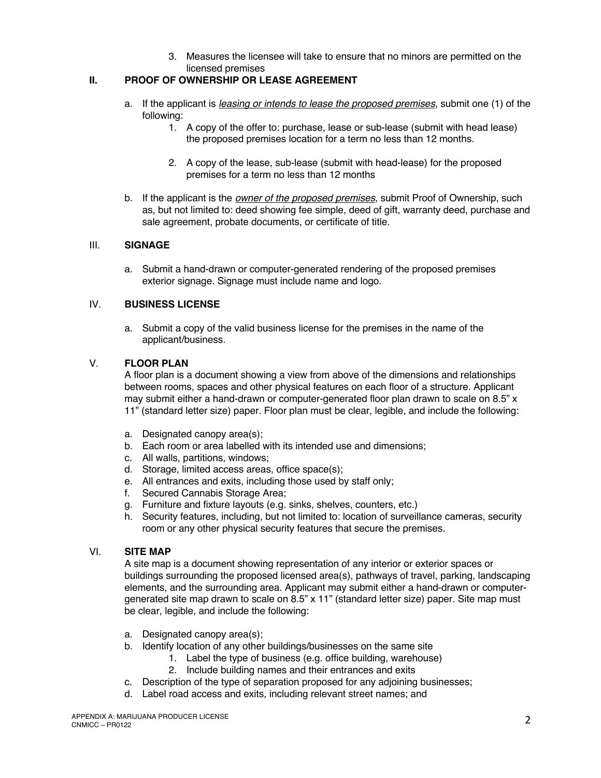3. Measures the licensee will take to ensure that no minors are permitted on the licensed premises

### **II. PROOF OF OWNERSHIP OR LEASE AGREEMENT**

- a. If the applicant is *leasing or intends to lease the proposed premises*, submit one (1) of the following:
	- 1. A copy of the offer to: purchase, lease or sub-lease (submit with head lease) the proposed premises location for a term no less than 12 months.
	- 2. A copy of the lease, sub-lease (submit with head-lease) for the proposed premises for a term no less than 12 months
- b. If the applicant is the *owner of the proposed premises*, submit Proof of Ownership, such as, but not limited to: deed showing fee simple, deed of gift, warranty deed, purchase and sale agreement, probate documents, or certificate of title.

#### III. **SIGNAGE**

a. Submit a hand-drawn or computer-generated rendering of the proposed premises exterior signage. Signage must include name and logo.

#### IV. **BUSINESS LICENSE**

a. Submit a copy of the valid business license for the premises in the name of the applicant/business.

#### V. **FLOOR PLAN**

A floor plan is a document showing a view from above of the dimensions and relationships between rooms, spaces and other physical features on each floor of a structure. Applicant may submit either a hand-drawn or computer-generated floor plan drawn to scale on 8.5" x 11" (standard letter size) paper. Floor plan must be clear, legible, and include the following:

- a. Designated canopy area(s);
- b. Each room or area labelled with its intended use and dimensions;
- c. All walls, partitions, windows;
- d. Storage, limited access areas, office space(s);
- e. All entrances and exits, including those used by staff only;
- f. Secured Cannabis Storage Area;
- g. Furniture and fixture layouts (e.g. sinks, shelves, counters, etc.)
- h. Security features, including, but not limited to: location of surveillance cameras, security room or any other physical security features that secure the premises.

#### VI. **SITE MAP**

A site map is a document showing representation of any interior or exterior spaces or buildings surrounding the proposed licensed area(s), pathways of travel, parking, landscaping elements, and the surrounding area. Applicant may submit either a hand-drawn or computergenerated site map drawn to scale on 8.5" x 11" (standard letter size) paper. Site map must be clear, legible, and include the following:

- a. Designated canopy area(s);
- b. Identify location of any other buildings/businesses on the same site
	- 1. Label the type of business (e.g. office building, warehouse)
		- 2. Include building names and their entrances and exits
- c. Description of the type of separation proposed for any adjoining businesses;
- d. Label road access and exits, including relevant street names; and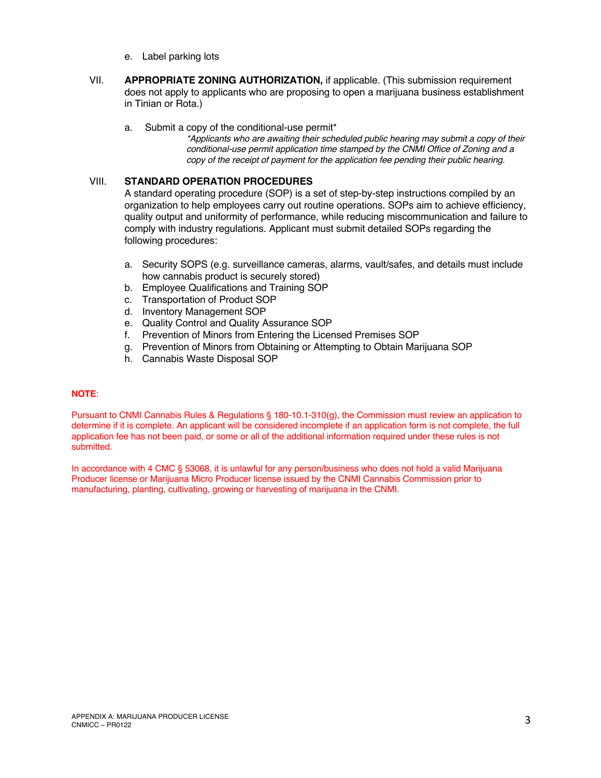- e. Label parking lots
- VII. **APPROPRIATE ZONING AUTHORIZATION,** if applicable. (This submission requirement does not apply to applicants who are proposing to open a marijuana business establishment in Tinian or Rota.)
	- a. Submit a copy of the conditional-use permit\*

*\*Applicants who are awaiting their scheduled public hearing may submit a copy of their conditional-use permit application time stamped by the CNMI Office of Zoning and a copy of the receipt of payment for the application fee pending their public hearing.* 

#### VIII. **STANDARD OPERATION PROCEDURES**

A standard operating procedure (SOP) is a set of step-by-step instructions compiled by an organization to help employees carry out routine operations. SOPs aim to achieve efficiency, quality output and uniformity of performance, while reducing miscommunication and failure to comply with industry regulations. Applicant must submit detailed SOPs regarding the following procedures:

- a. Security SOPS (e.g. surveillance cameras, alarms, vault/safes, and details must include how cannabis product is securely stored)
- b. Employee Qualifications and Training SOP
- c. Transportation of Product SOP
- d. Inventory Management SOP
- e. Quality Control and Quality Assurance SOP
- f. Prevention of Minors from Entering the Licensed Premises SOP
- g. Prevention of Minors from Obtaining or Attempting to Obtain Marijuana SOP
- h. Cannabis Waste Disposal SOP

#### **NOTE**:

Pursuant to CNMI Cannabis Rules & Regulations § 180-10.1-310(g), the Commission must review an application to determine if it is complete. An applicant will be considered incomplete if an application form is not complete, the full application fee has not been paid, or some or all of the additional information required under these rules is not submitted.

In accordance with 4 CMC § 53068, it is unlawful for any person/business who does not hold a valid Marijuana Producer license or Marijuana Micro Producer license issued by the CNMI Cannabis Commission prior to manufacturing, planting, cultivating, growing or harvesting of marijuana in the CNMI.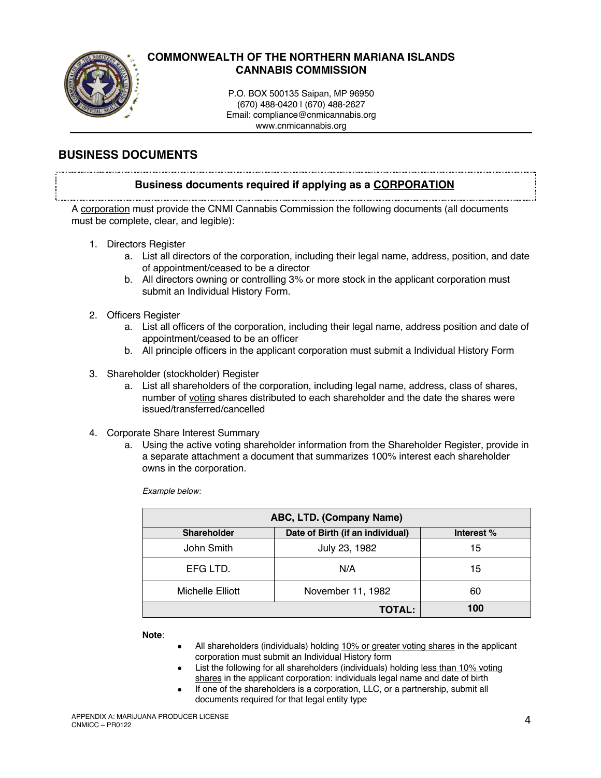

# **COMMONWEALTH OF THE NORTHERN MARIANA ISLANDS CANNABIS COMMISSION**

P.O. BOX 500135 Saipan, MP 96950 (670) 488-0420 | (670) 488-2627 Email: compliance@cnmicannabis.org www.cnmicannabis.org

# **BUSINESS DOCUMENTS**

### **Business documents required if applying as a CORPORATION**

A corporation must provide the CNMI Cannabis Commission the following documents (all documents must be complete, clear, and legible):

- 1. Directors Register
	- a. List all directors of the corporation, including their legal name, address, position, and date of appointment/ceased to be a director
	- b. All directors owning or controlling 3% or more stock in the applicant corporation must submit an Individual History Form.
- 2. Officers Register
	- a. List all officers of the corporation, including their legal name, address position and date of appointment/ceased to be an officer
	- b. All principle officers in the applicant corporation must submit a Individual History Form
- 3. Shareholder (stockholder) Register
	- a. List all shareholders of the corporation, including legal name, address, class of shares, number of voting shares distributed to each shareholder and the date the shares were issued/transferred/cancelled
- 4. Corporate Share Interest Summary
	- a. Using the active voting shareholder information from the Shareholder Register, provide in a separate attachment a document that summarizes 100% interest each shareholder owns in the corporation.

*Example below:*

| ABC, LTD. (Company Name) |                                  |            |  |
|--------------------------|----------------------------------|------------|--|
| <b>Shareholder</b>       | Date of Birth (if an individual) | Interest % |  |
| John Smith               | July 23, 1982                    | 15         |  |
| EFG LTD.                 | N/A                              | 15         |  |
| Michelle Elliott         | November 11, 1982                | 60         |  |
|                          | <b>TOTAL:</b>                    | 100        |  |

**Note**:

- All shareholders (individuals) holding 10% or greater voting shares in the applicant corporation must submit an Individual History form
- List the following for all shareholders (individuals) holding less than 10% voting shares in the applicant corporation: individuals legal name and date of birth
- If one of the shareholders is a corporation, LLC, or a partnership, submit all documents required for that legal entity type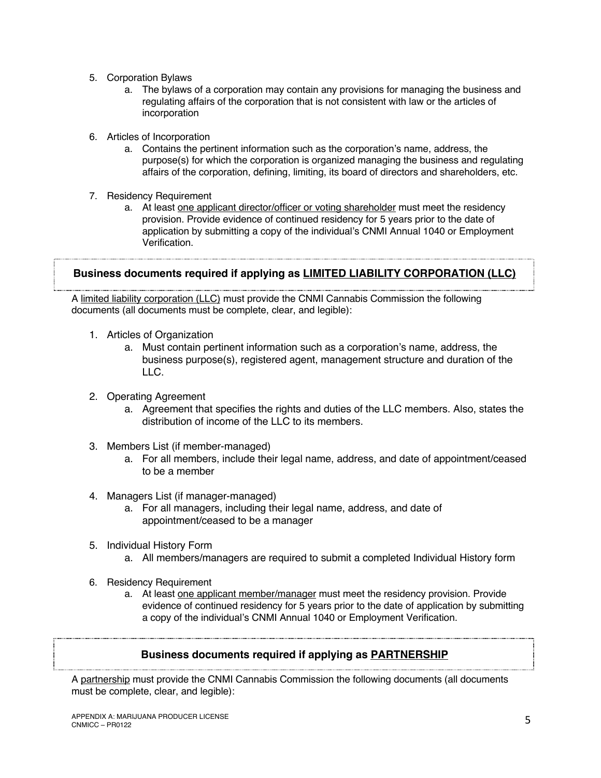- 5. Corporation Bylaws
	- a. The bylaws of a corporation may contain any provisions for managing the business and regulating affairs of the corporation that is not consistent with law or the articles of incorporation
- 6. Articles of Incorporation
	- a. Contains the pertinent information such as the corporation's name, address, the purpose(s) for which the corporation is organized managing the business and regulating affairs of the corporation, defining, limiting, its board of directors and shareholders, etc.
- 7. Residency Requirement
	- a. At least one applicant director/officer or voting shareholder must meet the residency provision. Provide evidence of continued residency for 5 years prior to the date of application by submitting a copy of the individual's CNMI Annual 1040 or Employment Verification.

# **Business documents required if applying as LIMITED LIABILITY CORPORATION (LLC)**

A limited liability corporation (LLC) must provide the CNMI Cannabis Commission the following documents (all documents must be complete, clear, and legible):

- 1. Articles of Organization
	- a. Must contain pertinent information such as a corporation's name, address, the business purpose(s), registered agent, management structure and duration of the LLC.
- 2. Operating Agreement
	- a. Agreement that specifies the rights and duties of the LLC members. Also, states the distribution of income of the LLC to its members.
- 3. Members List (if member-managed)
	- a. For all members, include their legal name, address, and date of appointment/ceased to be a member
- 4. Managers List (if manager-managed)
	- a. For all managers, including their legal name, address, and date of appointment/ceased to be a manager
- 5. Individual History Form
	- a. All members/managers are required to submit a completed Individual History form
- 6. Residency Requirement
	- a. At least one applicant member/manager must meet the residency provision. Provide evidence of continued residency for 5 years prior to the date of application by submitting a copy of the individual's CNMI Annual 1040 or Employment Verification.

# **Business documents required if applying as PARTNERSHIP**

A partnership must provide the CNMI Cannabis Commission the following documents (all documents must be complete, clear, and legible):